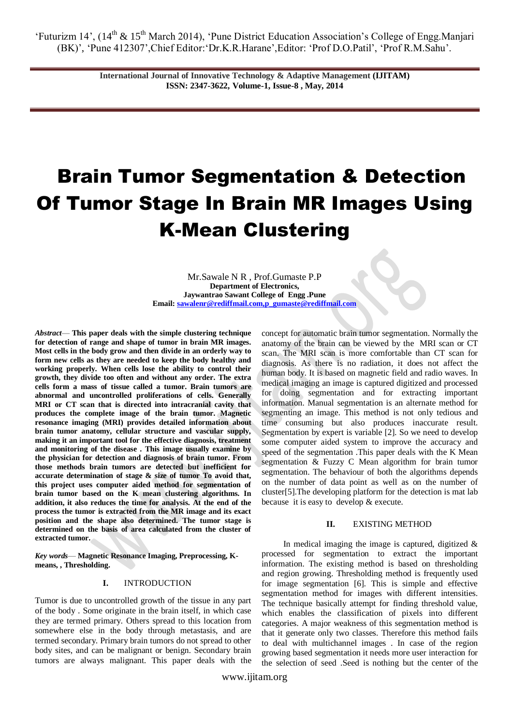> **International Journal of Innovative Technology & Adaptive Management (IJITAM) ISSN: 2347-3622, Volume-1, Issue-8 , May, 2014**

# Brain Tumor Segmentation & Detection Of Tumor Stage In Brain MR Images Using K-Mean Clustering

Mr.Sawale N R , Prof.Gumaste P.P **Department of Electronics, Jaywantrao Sawant College of Engg .Pune Email[: sawalenr@rediffmail.com,p\\_gumaste@rediffmail.com](mailto:sawalenr@rediffmail.com,p_gumaste@rediffmail.com)**

*Abstract*— **This paper deals with the simple clustering technique for detection of range and shape of tumor in brain MR images. Most cells in the body grow and then divide in an orderly way to form new cells as they are needed to keep the body healthy and working properly. When cells lose the ability to control their growth, they divide too often and without any order. The extra cells form a mass of tissue called a tumor. Brain tumors are abnormal and uncontrolled proliferations of cells. Generally MRI or CT scan that is directed into intracranial cavity that produces the complete image of the brain tumor. Magnetic resonance imaging (MRI) provides detailed information about brain tumor anatomy, cellular structure and vascular supply, making it an important tool for the effective diagnosis, treatment and monitoring of the disease . This image usually examine by the physician for detection and diagnosis of brain tumor. From those methods brain tumors are detected but inefficient for accurate determination of stage & size of tumor To avoid that, this project uses computer aided method for segmentation of brain tumor based on the K mean clustering algorithms. In addition, it also reduces the time for analysis. At the end of the process the tumor is extracted from the MR image and its exact position and the shape also determined. The tumor stage is determined on the basis of area calculated from the cluster of extracted tumor.**

*Key words*— **Magnetic Resonance Imaging, Preprocessing, Kmeans, , Thresholding.**

#### **I.** INTRODUCTION

Tumor is due to uncontrolled growth of the tissue in any part of the body . Some originate in the brain itself, in which case they are termed primary. Others spread to this location from somewhere else in the body through metastasis, and are termed secondary. Primary brain tumors do not spread to other body sites, and can be malignant or benign. Secondary brain tumors are always malignant. This paper deals with the

concept for automatic brain tumor segmentation. Normally the anatomy of the brain can be viewed by the MRI scan or CT scan. The MRI scan is more comfortable than CT scan for diagnosis. As there is no radiation, it does not affect the human body. It is based on magnetic field and radio waves. In medical imaging an image is captured digitized and processed for doing segmentation and for extracting important information. Manual segmentation is an alternate method for segmenting an image. This method is not only tedious and time consuming but also produces inaccurate result. Segmentation by expert is variable [2]. So we need to develop some computer aided system to improve the accuracy and speed of the segmentation .This paper deals with the K Mean segmentation & Fuzzy C Mean algorithm for brain tumor segmentation. The behaviour of both the algorithms depends on the number of data point as well as on the number of cluster[5].The developing platform for the detection is mat lab because it is easy to develop & execute.

#### **II.** EXISTING METHOD

In medical imaging the image is captured, digitized  $\&$ processed for segmentation to extract the important information. The existing method is based on thresholding and region growing. Thresholding method is frequently used for image segmentation [6]. This is simple and effective segmentation method for images with different intensities. The technique basically attempt for finding threshold value, which enables the classification of pixels into different categories. A major weakness of this segmentation method is that it generate only two classes. Therefore this method fails to deal with multichannel images . In case of the region growing based segmentation it needs more user interaction for the selection of seed .Seed is nothing but the center of the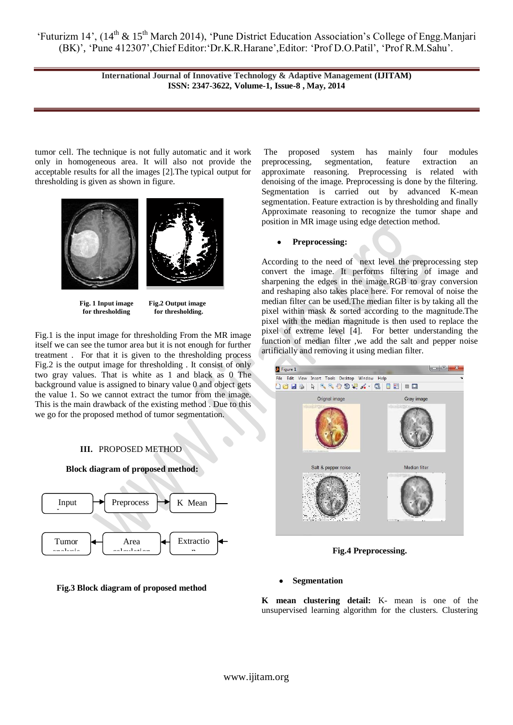> **International Journal of Innovative Technology & Adaptive Management (IJITAM) ISSN: 2347-3622, Volume-1, Issue-8 , May, 2014**

tumor cell. The technique is not fully automatic and it work only in homogeneous area. It will also not provide the acceptable results for all the images [2].The typical output for thresholding is given as shown in figure.



**Fig. 1 Input image Fig.2 Output image for thresholding for thresholding.**

Fig.1 is the input image for thresholding From the MR image itself we can see the tumor area but it is not enough for further treatment . For that it is given to the thresholding process Fig.2 is the output image for thresholding . It consist of only two gray values. That is white as 1 and black as 0 The background value is assigned to binary value 0 and object gets the value 1. So we cannot extract the tumor from the image. This is the main drawback of the existing method . Due to this we go for the proposed method of tumor segmentation.

# **III.** PROPOSED METHOD



# **Fig.3 Block diagram of proposed method**

The proposed system has mainly four modules preprocessing, segmentation, feature extraction an approximate reasoning. Preprocessing is related with denoising of the image. Preprocessing is done by the filtering. Segmentation is carried out by advanced K-mean segmentation. Feature extraction is by thresholding and finally Approximate reasoning to recognize the tumor shape and position in MR image using edge detection method.

#### $\bullet$ **Preprocessing:**

According to the need of next level the preprocessing step convert the image. It performs filtering of image and sharpening the edges in the image.RGB to gray conversion and reshaping also takes place here. For removal of noise the median filter can be used.The median filter is by taking all the pixel within mask & sorted according to the magnitude.The pixel with the median magnitude is then used to replace the pixel of extreme level [4]. For better understanding the function of median filter ,we add the salt and pepper noise artificially and removing it using median filter.



**Fig.4 Preprocessing.**

### **Segmentation**

**K mean clustering detail:** K- mean is one of the unsupervised learning algorithm for the clusters. Clustering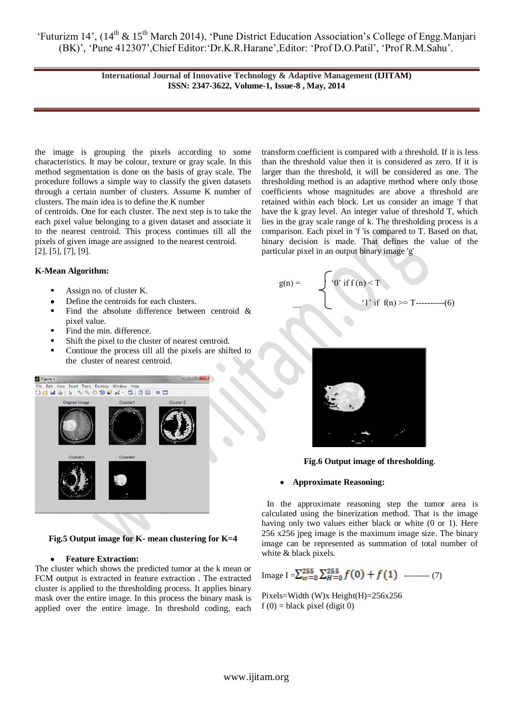> **International Journal of Innovative Technology & Adaptive Management (IJITAM) ISSN: 2347-3622, Volume-1, Issue-8 , May, 2014**

the image is grouping the pixels according to some characteristics. It may be colour, texture or gray scale. In this method segmentation is done on the basis of gray scale. The procedure follows a simple way to classify the given datasets through a certain number of clusters. Assume K number of clusters. The main idea is to define the K number

of centroids. One for each cluster. The next step is to take the each pixel value belonging to a given dataset and associate it to the nearest centroid. This process continues till all the pixels of given image are assigned to the nearest centroid. [2], [5], [7], [9].

## **K-Mean Algorithm:**

- Assign no. of cluster K.
- Define the centroids for each clusters.  $\bullet$
- Find the absolute difference between centroid  $\&$ pixel value.
- Find the min. difference.
- Shift the pixel to the cluster of nearest centroid.
- Continue the process till all the pixels are shifted to the cluster of nearest centroid.



**Fig.5 Output image for K- mean clustering for K=4**

#### **Feature Extraction:**  $\bullet$

The cluster which shows the predicted tumor at the k mean or FCM output is extracted in feature extraction . The extracted cluster is applied to the thresholding process. It applies binary mask over the entire image. In this process the binary mask is applied over the entire image. In threshold coding, each

transform coefficient is compared with a threshold. If it is less than the threshold value then it is considered as zero. If it is larger than the threshold, it will be considered as one. The thresholding method is an adaptive method where only those coefficients whose magnitudes are above a threshold are retained within each block. Let us consider an image 'f that have the k gray level. An integer value of threshold T, which lies in the gray scale range of k. The thresholding process is a comparison. Each pixel in 'f 'is compared to T. Based on that, binary decision is made. That defines the value of the particular pixel in an output binary image 'g'

$$
g(n) = \begin{cases} 0' \text{ if } f(n) < T \\ 1' \text{ if } f(n) > T \end{cases}
$$
 (6)



**Fig.6 Output image of thresholding**.

#### **Approximate Reasoning:**

 In the approximate reasoning step the tumor area is calculated using the binerization method. That is the image having only two values either black or white (0 or 1). Here 256 x256 jpeg image is the maximum image size. The binary image can be represented as summation of total number of white & black pixels.

Image I = 
$$
\sum_{w=0}^{255} \sum_{H=0}^{255} f(0) + f(1)
$$
 ......(7)

Pixels=Width (W)x Height(H)=256x256  $f(0) = black pixel$  (digit 0)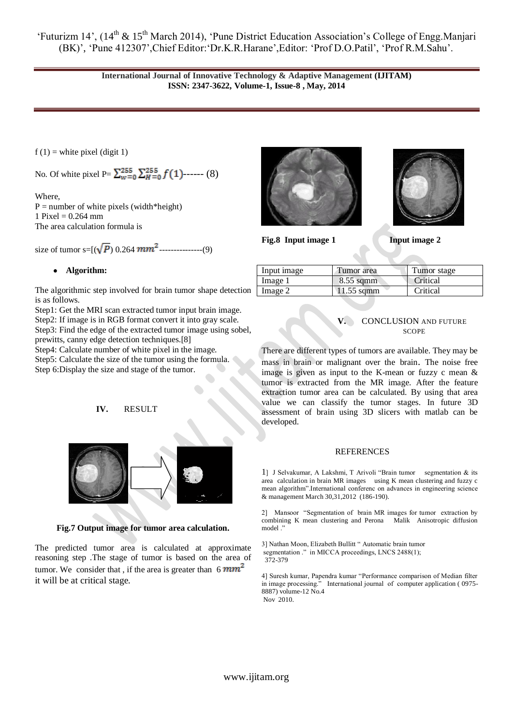> **International Journal of Innovative Technology & Adaptive Management (IJITAM) ISSN: 2347-3622, Volume-1, Issue-8 , May, 2014**

 $f(1)$  = white pixel (digit 1)

No. Of white pixel P=  $\sum_{w=0}^{255} \sum_{H=0}^{255} f(1)$ ------ (8)

Where,  $P =$  number of white pixels (width\*height) 1 Pixel =  $0.264$  mm The area calculation formula is

size of tumor s= $[(\sqrt{P}) 0.264$   $mm^2$  ---------------(9)

# **Algorithm:**

The algorithmic step involved for brain tumor shape detection is as follows.

Step1: Get the MRI scan extracted tumor input brain image.

Step2: If image is in RGB format convert it into gray scale. Step3: Find the edge of the extracted tumor image using sobel,

prewitts, canny edge detection techniques.[8]

Step4: Calculate number of white pixel in the image.

Step5: Calculate the size of the tumor using the formula.

Step 6:Display the size and stage of the tumor.

# **IV.** RESULT



**Fig.7 Output image for tumor area calculation.**

The predicted tumor area is calculated at approximate reasoning step .The stage of tumor is based on the area of tumor. We consider that, if the area is greater than  $6 \, mm^2$ it will be at critical stage.





**Fig.8** Input image 1 Input image 2

| Input image | Tumor area   | Tumor stage |
|-------------|--------------|-------------|
| Image 1     | $8.55$ sqmm  | Critical    |
| Image 2     | $11.55$ sqmm | Critical    |

**V.** CONCLUSION AND FUTURE **SCOPE** 

There are different types of tumors are available. They may be mass in brain or malignant over the brain. The noise free image is given as input to the K-mean or fuzzy c mean & tumor is extracted from the MR image. After the feature extraction tumor area can be calculated. By using that area value we can classify the tumor stages. In future 3D assessment of brain using 3D slicers with matlab can be developed.

# REFERENCES

1] J Selvakumar, A Lakshmi, T Arivoli "Brain tumor segmentation & its area calculation in brain MR images using K mean clustering and fuzzy c mean algorithm".International conferenc on advances in engineering science & management March 30,31,2012 (186-190).

2] Mansoor "Segmentation of brain MR images for tumor extraction by combining K mean clustering and Perona Malik Anisotropic diffusion model .'

3] Nathan Moon, Elizabeth Bullitt " Automatic brain tumor segmentation ." in MICCA proceedings, LNCS 2488(1); 372-379

4] Suresh kumar, Papendra kumar "Performance comparison of Median filter in image processing." International journal of computer application ( 0975- 8887) volume-12 No.4 Nov 2010.

www.ijitam.org